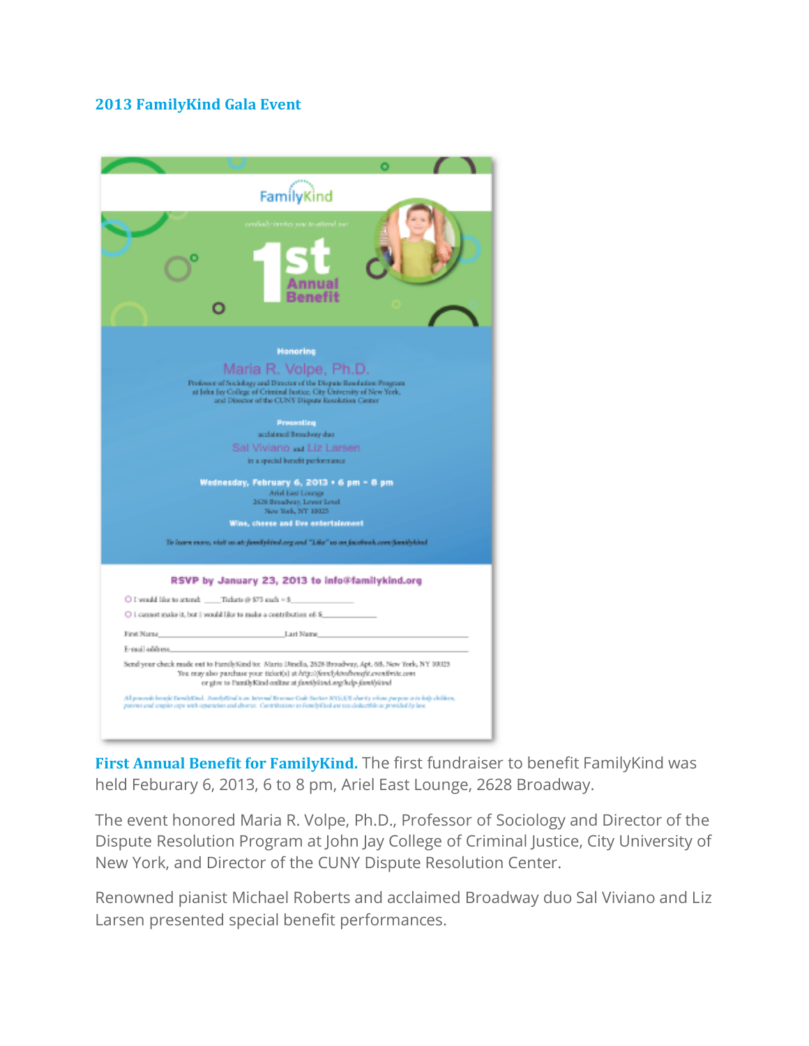## **2013 FamilyKind Gala Event**

| FamilyKind                                                                                                                                                                                                                                                    |
|---------------------------------------------------------------------------------------------------------------------------------------------------------------------------------------------------------------------------------------------------------------|
|                                                                                                                                                                                                                                                               |
| <b>Honoring</b>                                                                                                                                                                                                                                               |
| Maria R. Volpe, Ph.D.                                                                                                                                                                                                                                         |
| Professor of Sociology and Director of the Dispute Readution Program<br>at John Jay College of Criminal Justice, City University of New York.                                                                                                                 |
| and Disector of the CUNY Dispute Resolution Genter                                                                                                                                                                                                            |
|                                                                                                                                                                                                                                                               |
| Presenting                                                                                                                                                                                                                                                    |
| acclaimed Broadway due                                                                                                                                                                                                                                        |
| Sal Viviano  Liz Larsen                                                                                                                                                                                                                                       |
| in a special benefit performance                                                                                                                                                                                                                              |
| Wednesday, February 6, 2013 • 6 pm = 8 pm                                                                                                                                                                                                                     |
| Ariel East Lounge                                                                                                                                                                                                                                             |
| 2628 Broadway, Lower Level<br>New Bark, NY 10025                                                                                                                                                                                                              |
| Wine, cheese and live entertainment                                                                                                                                                                                                                           |
|                                                                                                                                                                                                                                                               |
| To learn more, visit us at: familylind.org and "Like" us on facebook.com/familylind                                                                                                                                                                           |
| RSVP by January 23, 2013 to info@familykind.org                                                                                                                                                                                                               |
| O I would like to attend: Tickets @ \$75 each = \$                                                                                                                                                                                                            |
| O 1 cannot make it, but I would like to make a contribution of 8                                                                                                                                                                                              |
| Last Name<br>First Name                                                                                                                                                                                                                                       |
| E-mail address.                                                                                                                                                                                                                                               |
| Send your check raude out to FurnilyKind to: Maria Dirsella, 2028 Broadway, Apt. 68. New York, NY 10023-<br>You may also purchase your ticket(a) at http://foref/dowlbenefit.crentbrite.com<br>or give to PamilyKind online at familykind.org/help-familykind |
| All powerals brought ParnilyDind, TourdyRiod is an Internal Researce Code Starture (OY)(1)(8 where) whose purpose is in high children,<br>parent and ample cape with oparation and diverse. Contributions as FombyCind are tax deductible as provided by law. |
|                                                                                                                                                                                                                                                               |

**First Annual Benefit for FamilyKind.** The first fundraiser to benefit FamilyKind was held Feburary 6, 2013, 6 to 8 pm, Ariel East Lounge, 2628 Broadway.

The event honored Maria R. Volpe, Ph.D., Professor of Sociology and Director of the Dispute Resolution Program at John Jay College of Criminal Justice, City University of New York, and Director of the CUNY Dispute Resolution Center.

Renowned pianist Michael Roberts and acclaimed Broadway duo Sal Viviano and Liz Larsen presented special benefit performances.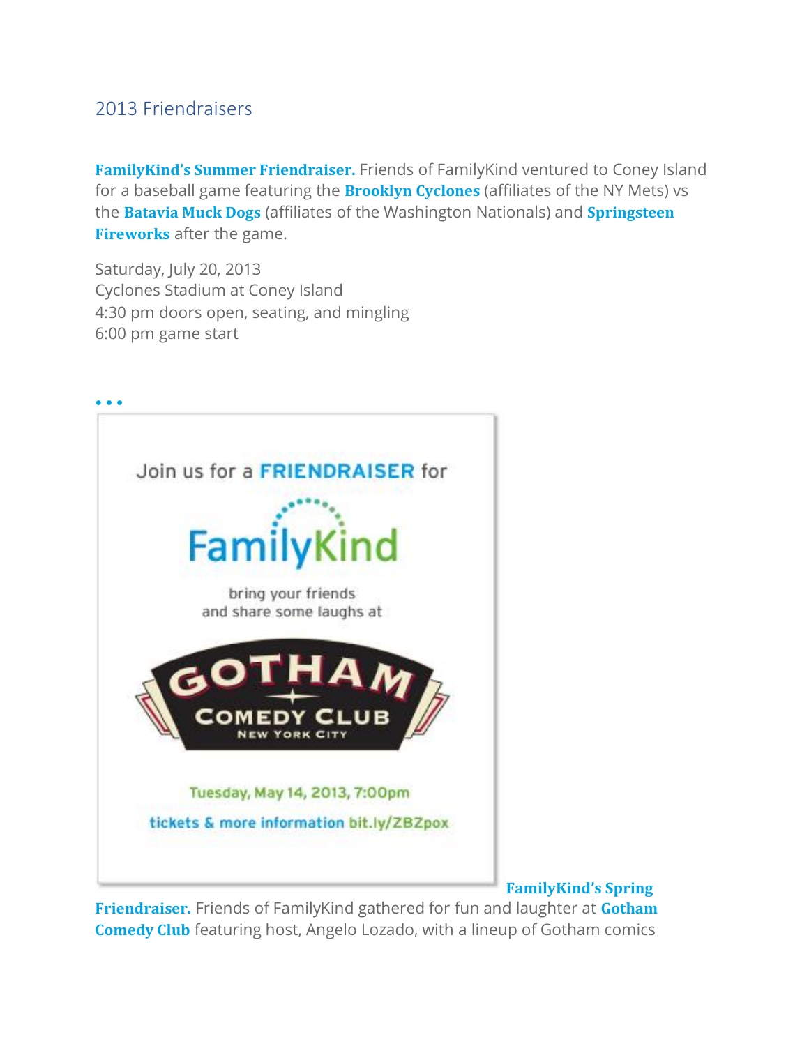## 2013 Friendraisers

**FamilyKind's Summer Friendraiser.** Friends of FamilyKind ventured to Coney Island for a baseball game featuring the **Brooklyn Cyclones** (affiliates of the NY Mets) vs the **Batavia Muck Dogs** (affiliates of the Washington Nationals) and **Springsteen Fireworks** after the game.

Saturday, July 20, 2013 Cyclones Stadium at Coney Island 4:30 pm doors open, seating, and mingling 6:00 pm game start



**FamilyKind's Spring**

**Friendraiser.** Friends of FamilyKind gathered for fun and laughter at **Gotham Comedy Club** featuring host, Angelo Lozado, with a lineup of Gotham comics